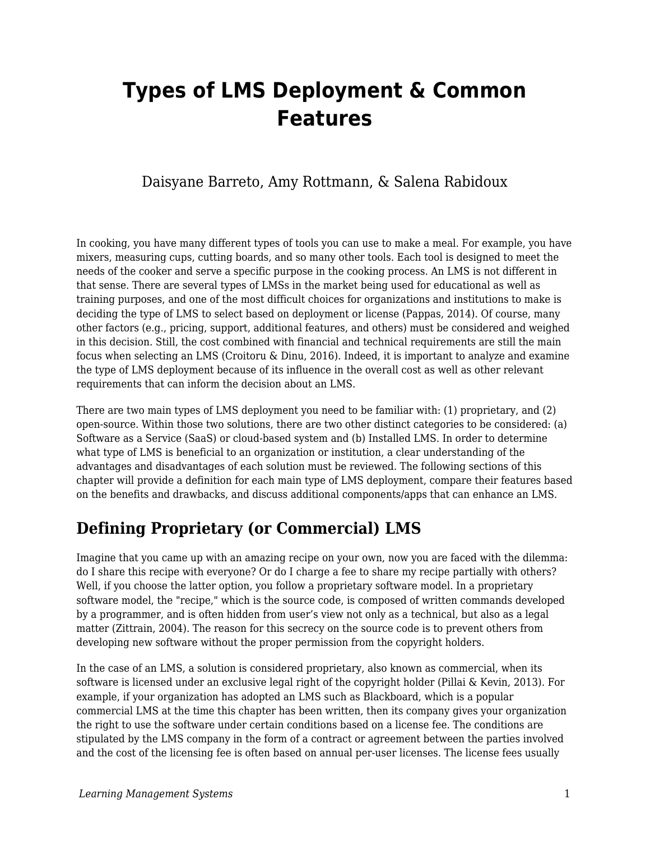# **Types of LMS Deployment & Common Features**

### Daisyane Barreto, Amy Rottmann, & Salena Rabidoux

In cooking, you have many different types of tools you can use to make a meal. For example, you have mixers, measuring cups, cutting boards, and so many other tools. Each tool is designed to meet the needs of the cooker and serve a specific purpose in the cooking process. An LMS is not different in that sense. There are several types of LMSs in the market being used for educational as well as training purposes, and one of the most difficult choices for organizations and institutions to make is deciding the type of LMS to select based on deployment or license (Pappas, 2014). Of course, many other factors (e.g., pricing, support, additional features, and others) must be considered and weighed in this decision. Still, the cost combined with financial and technical requirements are still the main focus when selecting an LMS (Croitoru & Dinu, 2016). Indeed, it is important to analyze and examine the type of LMS deployment because of its influence in the overall cost as well as other relevant requirements that can inform the decision about an LMS.

There are two main types of LMS deployment you need to be familiar with: (1) proprietary, and (2) open-source. Within those two solutions, there are two other distinct categories to be considered: (a) Software as a Service (SaaS) or cloud-based system and (b) Installed LMS. In order to determine what type of LMS is beneficial to an organization or institution, a clear understanding of the advantages and disadvantages of each solution must be reviewed. The following sections of this chapter will provide a definition for each main type of LMS deployment, compare their features based on the benefits and drawbacks, and discuss additional components/apps that can enhance an LMS.

# **Defining Proprietary (or Commercial) LMS**

Imagine that you came up with an amazing recipe on your own, now you are faced with the dilemma: do I share this recipe with everyone? Or do I charge a fee to share my recipe partially with others? Well, if you choose the latter option, you follow a proprietary software model. In a proprietary software model, the "recipe," which is the source code, is composed of written commands developed by a programmer, and is often hidden from user's view not only as a technical, but also as a legal matter (Zittrain, 2004). The reason for this secrecy on the source code is to prevent others from developing new software without the proper permission from the copyright holders.

In the case of an LMS, a solution is considered proprietary, also known as commercial, when its software is licensed under an exclusive legal right of the copyright holder (Pillai & Kevin, 2013). For example, if your organization has adopted an LMS such as Blackboard, which is a popular commercial LMS at the time this chapter has been written, then its company gives your organization the right to use the software under certain conditions based on a license fee. The conditions are stipulated by the LMS company in the form of a contract or agreement between the parties involved and the cost of the licensing fee is often based on annual per-user licenses. The license fees usually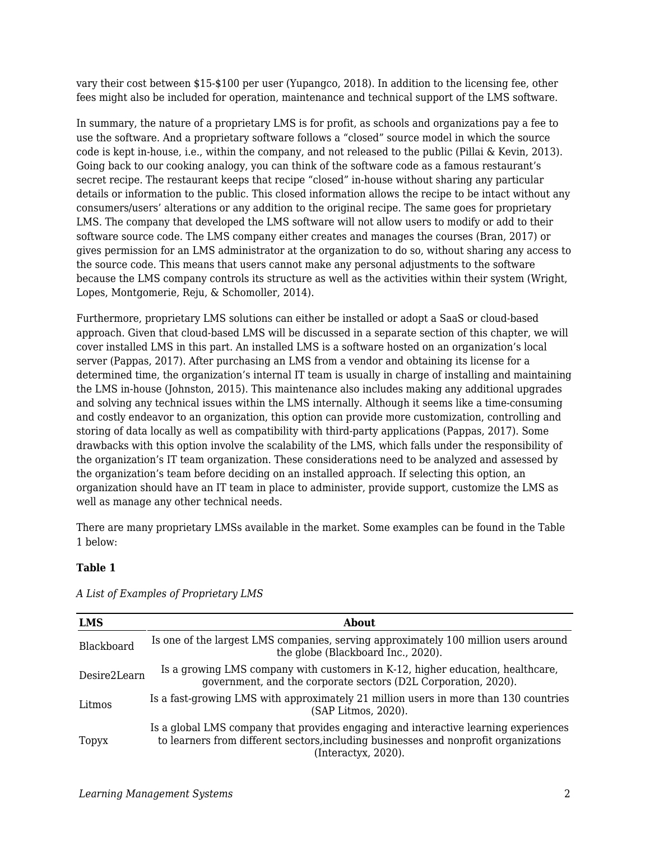vary their cost between \$15-\$100 per user (Yupangco, 2018). In addition to the licensing fee, other fees might also be included for operation, maintenance and technical support of the LMS software.

In summary, the nature of a proprietary LMS is for profit, as schools and organizations pay a fee to use the software. And a proprietary software follows a "closed" source model in which the source code is kept in-house, i.e., within the company, and not released to the public (Pillai & Kevin, 2013). Going back to our cooking analogy, you can think of the software code as a famous restaurant's secret recipe. The restaurant keeps that recipe "closed" in-house without sharing any particular details or information to the public. This closed information allows the recipe to be intact without any consumers/users' alterations or any addition to the original recipe. The same goes for proprietary LMS. The company that developed the LMS software will not allow users to modify or add to their software source code. The LMS company either creates and manages the courses (Bran, 2017) or gives permission for an LMS administrator at the organization to do so, without sharing any access to the source code. This means that users cannot make any personal adjustments to the software because the LMS company controls its structure as well as the activities within their system (Wright, Lopes, Montgomerie, Reju, & Schomoller, 2014).

Furthermore, proprietary LMS solutions can either be installed or adopt a SaaS or cloud-based approach. Given that cloud-based LMS will be discussed in a separate section of this chapter, we will cover installed LMS in this part. An installed LMS is a software hosted on an organization's local server (Pappas, 2017). After purchasing an LMS from a vendor and obtaining its license for a determined time, the organization's internal IT team is usually in charge of installing and maintaining the LMS in-house (Johnston, 2015). This maintenance also includes making any additional upgrades and solving any technical issues within the LMS internally. Although it seems like a time-consuming and costly endeavor to an organization, this option can provide more customization, controlling and storing of data locally as well as compatibility with third-party applications (Pappas, 2017). Some drawbacks with this option involve the scalability of the LMS, which falls under the responsibility of the organization's IT team organization. These considerations need to be analyzed and assessed by the organization's team before deciding on an installed approach. If selecting this option, an organization should have an IT team in place to administer, provide support, customize the LMS as well as manage any other technical needs.

There are many proprietary LMSs available in the market. Some examples can be found in the Table 1 below:

#### **Table 1**

| <b>LMS</b>   | About                                                                                                                                                                                               |  |
|--------------|-----------------------------------------------------------------------------------------------------------------------------------------------------------------------------------------------------|--|
| Blackboard   | Is one of the largest LMS companies, serving approximately 100 million users around<br>the globe (Blackboard Inc., 2020).                                                                           |  |
| Desire2Learn | Is a growing LMS company with customers in K-12, higher education, healthcare,<br>government, and the corporate sectors (D2L Corporation, 2020).                                                    |  |
| Litmos       | Is a fast-growing LMS with approximately 21 million users in more than 130 countries<br>(SAP Litmos, 2020).                                                                                         |  |
| Topyx        | Is a global LMS company that provides engaging and interactive learning experiences<br>to learners from different sectors, including businesses and nonprofit organizations<br>(Interactory, 2020). |  |

*A List of Examples of Proprietary LMS*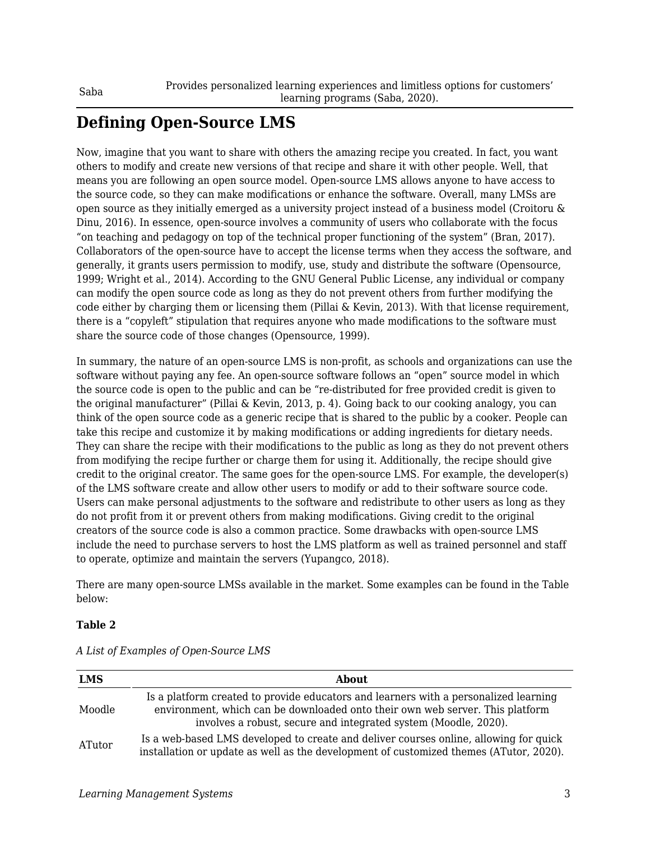# **Defining Open-Source LMS**

Now, imagine that you want to share with others the amazing recipe you created. In fact, you want others to modify and create new versions of that recipe and share it with other people. Well, that means you are following an open source model. Open-source LMS allows anyone to have access to the source code, so they can make modifications or enhance the software. Overall, many LMSs are open source as they initially emerged as a university project instead of a business model (Croitoru & Dinu, 2016). In essence, open-source involves a community of users who collaborate with the focus "on teaching and pedagogy on top of the technical proper functioning of the system" (Bran, 2017). Collaborators of the open-source have to accept the license terms when they access the software, and generally, it grants users permission to modify, use, study and distribute the software (Opensource, 1999; Wright et al., 2014). According to the GNU General Public License, any individual or company can modify the open source code as long as they do not prevent others from further modifying the code either by charging them or licensing them (Pillai & Kevin, 2013). With that license requirement, there is a "copyleft" stipulation that requires anyone who made modifications to the software must share the source code of those changes (Opensource, 1999).

In summary, the nature of an open-source LMS is non-profit, as schools and organizations can use the software without paying any fee. An open-source software follows an "open" source model in which the source code is open to the public and can be "re-distributed for free provided credit is given to the original manufacturer" (Pillai & Kevin, 2013, p. 4). Going back to our cooking analogy, you can think of the open source code as a generic recipe that is shared to the public by a cooker. People can take this recipe and customize it by making modifications or adding ingredients for dietary needs. They can share the recipe with their modifications to the public as long as they do not prevent others from modifying the recipe further or charge them for using it. Additionally, the recipe should give credit to the original creator. The same goes for the open-source LMS. For example, the developer(s) of the LMS software create and allow other users to modify or add to their software source code. Users can make personal adjustments to the software and redistribute to other users as long as they do not profit from it or prevent others from making modifications. Giving credit to the original creators of the source code is also a common practice. Some drawbacks with open-source LMS include the need to purchase servers to host the LMS platform as well as trained personnel and staff to operate, optimize and maintain the servers (Yupangco, 2018).

There are many open-source LMSs available in the market. Some examples can be found in the Table below:

#### **Table 2**

| <b>LMS</b> | <b>About</b>                                                                                                                                                                                                                             |  |  |
|------------|------------------------------------------------------------------------------------------------------------------------------------------------------------------------------------------------------------------------------------------|--|--|
| Moodle     | Is a platform created to provide educators and learners with a personalized learning<br>environment, which can be downloaded onto their own web server. This platform<br>involves a robust, secure and integrated system (Moodle, 2020). |  |  |
| ATutor     | Is a web-based LMS developed to create and deliver courses online, allowing for quick<br>installation or update as well as the development of customized themes (ATutor, 2020).                                                          |  |  |

*A List of Examples of Open-Source LMS*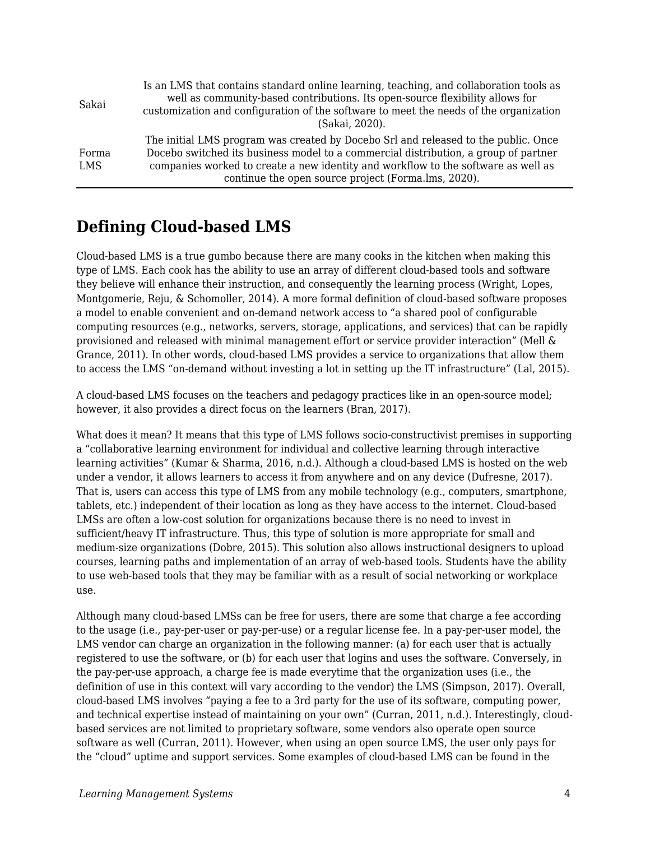| Sakai               | Is an LMS that contains standard online learning, teaching, and collaboration tools as<br>well as community-based contributions. Its open-source flexibility allows for<br>customization and configuration of the software to meet the needs of the organization<br>(Sakai. 2020).                                    |
|---------------------|-----------------------------------------------------------------------------------------------------------------------------------------------------------------------------------------------------------------------------------------------------------------------------------------------------------------------|
| Forma<br><b>LMS</b> | The initial LMS program was created by Docebo Srl and released to the public. Once<br>Docebo switched its business model to a commercial distribution, a group of partner<br>companies worked to create a new identity and workflow to the software as well as<br>continue the open source project (Forma.lms, 2020). |

# **Defining Cloud-based LMS**

Cloud-based LMS is a true gumbo because there are many cooks in the kitchen when making this type of LMS. Each cook has the ability to use an array of different cloud-based tools and software they believe will enhance their instruction, and consequently the learning process (Wright, Lopes, Montgomerie, Reju, & Schomoller, 2014). A more formal definition of cloud-based software proposes a model to enable convenient and on-demand network access to "a shared pool of configurable computing resources (e.g., networks, servers, storage, applications, and services) that can be rapidly provisioned and released with minimal management effort or service provider interaction" (Mell & Grance, 2011). In other words, cloud-based LMS provides a service to organizations that allow them to access the LMS "on-demand without investing a lot in setting up the IT infrastructure" (Lal, 2015).

A cloud-based LMS focuses on the teachers and pedagogy practices like in an open-source model; however, it also provides a direct focus on the learners (Bran, 2017).

What does it mean? It means that this type of LMS follows socio-constructivist premises in supporting a "collaborative learning environment for individual and collective learning through interactive learning activities" (Kumar & Sharma, 2016, n.d.). Although a cloud-based LMS is hosted on the web under a vendor, it allows learners to access it from anywhere and on any device (Dufresne, 2017). That is, users can access this type of LMS from any mobile technology (e.g., computers, smartphone, tablets, etc.) independent of their location as long as they have access to the internet. Cloud-based LMSs are often a low-cost solution for organizations because there is no need to invest in sufficient/heavy IT infrastructure. Thus, this type of solution is more appropriate for small and medium-size organizations (Dobre, 2015). This solution also allows instructional designers to upload courses, learning paths and implementation of an array of web-based tools. Students have the ability to use web-based tools that they may be familiar with as a result of social networking or workplace use.

Although many cloud-based LMSs can be free for users, there are some that charge a fee according to the usage (i.e., pay-per-user or pay-per-use) or a regular license fee. In a pay-per-user model, the LMS vendor can charge an organization in the following manner: (a) for each user that is actually registered to use the software, or (b) for each user that logins and uses the software. Conversely, in the pay-per-use approach, a charge fee is made everytime that the organization uses (i.e., the definition of use in this context will vary according to the vendor) the LMS (Simpson, 2017). Overall, cloud-based LMS involves "paying a fee to a 3rd party for the use of its software, computing power, and technical expertise instead of maintaining on your own" (Curran, 2011, n.d.). Interestingly, cloudbased services are not limited to proprietary software, some vendors also operate open source software as well (Curran, 2011). However, when using an open source LMS, the user only pays for the "cloud" uptime and support services. Some examples of cloud-based LMS can be found in the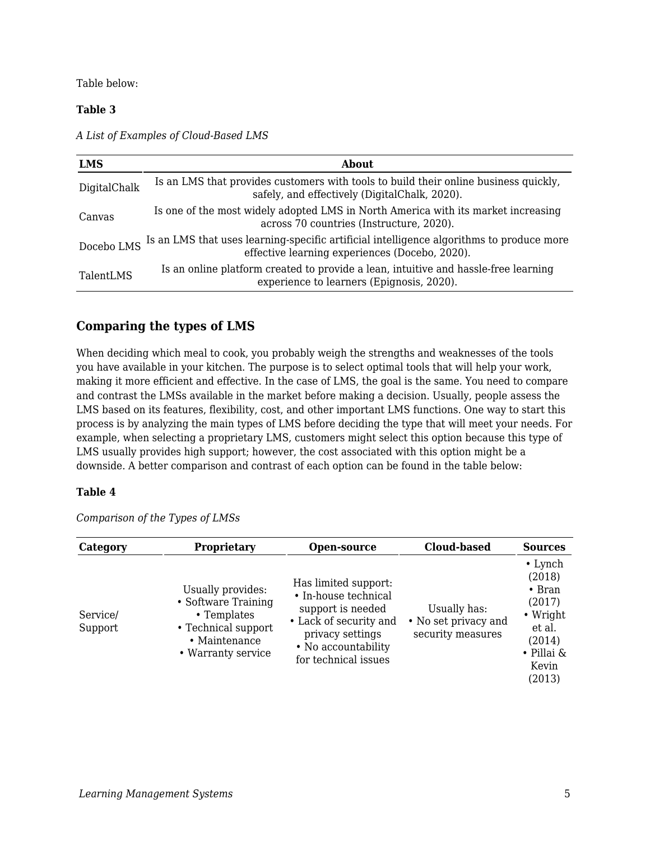Table below:

#### **Table 3**

*A List of Examples of Cloud-Based LMS*

| <b>LMS</b>   | <b>About</b>                                                                                                                               |  |  |
|--------------|--------------------------------------------------------------------------------------------------------------------------------------------|--|--|
| DigitalChalk | Is an LMS that provides customers with tools to build their online business quickly,<br>safely, and effectively (DigitalChalk, 2020).      |  |  |
| Canvas       | Is one of the most widely adopted LMS in North America with its market increasing<br>across 70 countries (Instructure, 2020).              |  |  |
| Docebo LMS   | Is an LMS that uses learning-specific artificial intelligence algorithms to produce more<br>effective learning experiences (Docebo, 2020). |  |  |
| TalentLMS    | Is an online platform created to provide a lean, intuitive and hassle-free learning<br>experience to learners (Epignosis, 2020).           |  |  |

### **Comparing the types of LMS**

When deciding which meal to cook, you probably weigh the strengths and weaknesses of the tools you have available in your kitchen. The purpose is to select optimal tools that will help your work, making it more efficient and effective. In the case of LMS, the goal is the same. You need to compare and contrast the LMSs available in the market before making a decision. Usually, people assess the LMS based on its features, flexibility, cost, and other important LMS functions. One way to start this process is by analyzing the main types of LMS before deciding the type that will meet your needs. For example, when selecting a proprietary LMS, customers might select this option because this type of LMS usually provides high support; however, the cost associated with this option might be a downside. A better comparison and contrast of each option can be found in the table below:

#### **Table 4**

| Category            | Proprietary                                                                                                           | Open-source                                                                                                                                                    | <b>Cloud-based</b>                                        | <b>Sources</b>                                                                                                               |
|---------------------|-----------------------------------------------------------------------------------------------------------------------|----------------------------------------------------------------------------------------------------------------------------------------------------------------|-----------------------------------------------------------|------------------------------------------------------------------------------------------------------------------------------|
| Service/<br>Support | Usually provides:<br>• Software Training<br>• Templates<br>• Technical support<br>• Maintenance<br>• Warranty service | Has limited support:<br>• In-house technical<br>support is needed<br>• Lack of security and<br>privacy settings<br>• No accountability<br>for technical issues | Usually has:<br>• No set privacy and<br>security measures | $\cdot$ Lynch<br>(2018)<br>$\bullet$ Bran<br>(2017)<br>$\bullet$ Wright<br>et al.<br>(2014)<br>• Pillai &<br>Kevin<br>(2013) |

*Comparison of the Types of LMSs*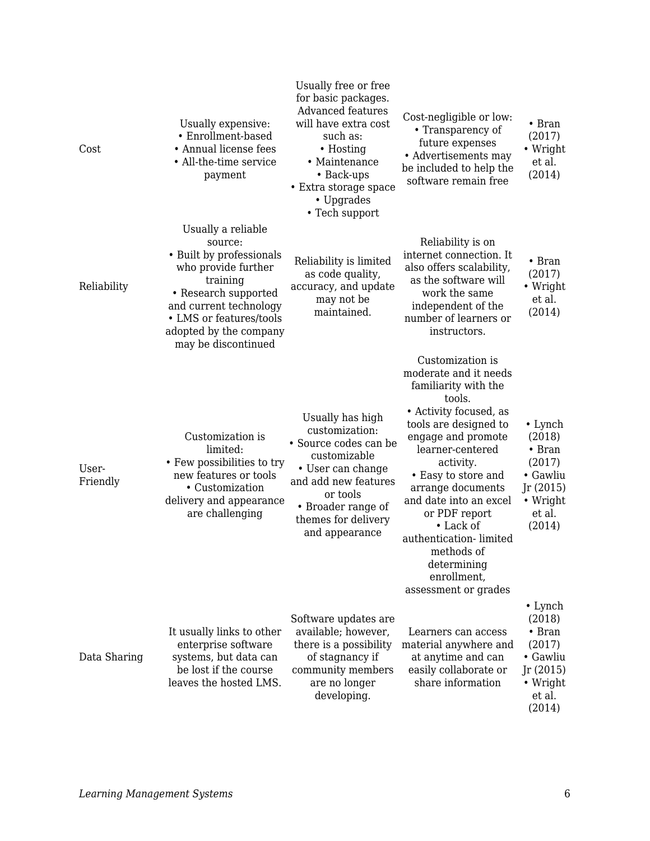| Cost              | Usually expensive:<br>• Enrollment-based<br>• Annual license fees<br>• All-the-time service<br>payment                                                                                                                     | Usually free or free<br>for basic packages.<br><b>Advanced features</b><br>will have extra cost<br>such as:<br>• Hosting<br>• Maintenance<br>• Back-ups<br>• Extra storage space<br>• Upgrades<br>• Tech support | Cost-negligible or low:<br>• Transparency of<br>future expenses<br>• Advertisements may<br>be included to help the<br>software remain free                                                                                                                                                                                                                                              | $\bullet$ Bran<br>(2017)<br>• Wright<br>et al.<br>(2014)                                                    |
|-------------------|----------------------------------------------------------------------------------------------------------------------------------------------------------------------------------------------------------------------------|------------------------------------------------------------------------------------------------------------------------------------------------------------------------------------------------------------------|-----------------------------------------------------------------------------------------------------------------------------------------------------------------------------------------------------------------------------------------------------------------------------------------------------------------------------------------------------------------------------------------|-------------------------------------------------------------------------------------------------------------|
| Reliability       | Usually a reliable<br>source:<br>• Built by professionals<br>who provide further<br>training<br>• Research supported<br>and current technology<br>• LMS or features/tools<br>adopted by the company<br>may be discontinued | Reliability is limited<br>as code quality,<br>accuracy, and update<br>may not be<br>maintained.                                                                                                                  | Reliability is on<br>internet connection. It<br>also offers scalability,<br>as the software will<br>work the same<br>independent of the<br>number of learners or<br>instructors.                                                                                                                                                                                                        | $\bullet$ Bran<br>(2017)<br>• Wright<br>et al.<br>(2014)                                                    |
| User-<br>Friendly | Customization is<br>limited:<br>• Few possibilities to try<br>new features or tools<br>• Customization<br>delivery and appearance<br>are challenging                                                                       | Usually has high<br>customization:<br>• Source codes can be<br>customizable<br>• User can change<br>and add new features<br>or tools<br>• Broader range of<br>themes for delivery<br>and appearance              | Customization is<br>moderate and it needs<br>familiarity with the<br>tools.<br>• Activity focused, as<br>tools are designed to<br>engage and promote<br>learner-centered<br>activity.<br>• Easy to store and<br>arrange documents<br>and date into an excel<br>or PDF report<br>• Lack of<br>authentication-limited<br>methods of<br>determining<br>enrollment,<br>assessment or grades | $\cdot$ Lynch<br>(2018)<br>$\bullet$ Bran<br>(2017)<br>• Gawliu<br>Jr(2015)<br>• Wright<br>et al.<br>(2014) |
| Data Sharing      | It usually links to other<br>enterprise software<br>systems, but data can<br>be lost if the course<br>leaves the hosted LMS.                                                                                               | Software updates are<br>available; however,<br>there is a possibility<br>of stagnancy if<br>community members<br>are no longer<br>developing.                                                                    | Learners can access<br>material anywhere and<br>at anytime and can<br>easily collaborate or<br>share information                                                                                                                                                                                                                                                                        | $\cdot$ Lynch<br>(2018)<br>$\bullet$ Bran<br>(2017)<br>• Gawliu<br>Jr(2015)<br>• Wright<br>et al.<br>(2014) |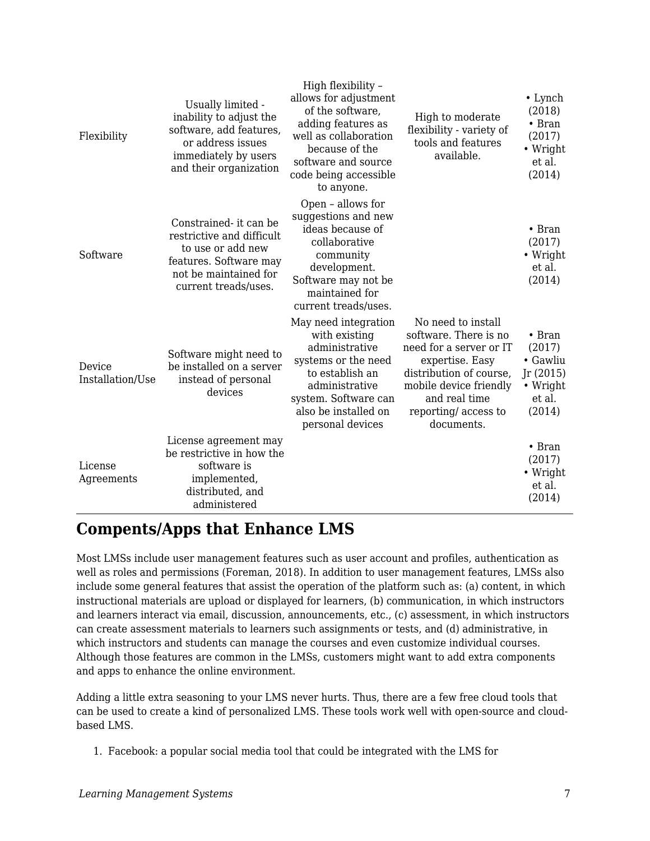| Flexibility                | Usually limited -<br>inability to adjust the<br>software, add features,<br>or address issues<br>immediately by users<br>and their organization      | High flexibility -<br>allows for adjustment<br>of the software,<br>adding features as<br>well as collaboration<br>because of the<br>software and source<br>code being accessible<br>to anyone. | High to moderate<br>flexibility - variety of<br>tools and features<br>available.                                                                                                                     | $\cdot$ Lynch<br>(2018)<br>$\bullet$ Bran<br>(2017)<br>• Wright<br>et al.<br>(2014) |
|----------------------------|-----------------------------------------------------------------------------------------------------------------------------------------------------|------------------------------------------------------------------------------------------------------------------------------------------------------------------------------------------------|------------------------------------------------------------------------------------------------------------------------------------------------------------------------------------------------------|-------------------------------------------------------------------------------------|
| Software                   | Constrained- it can be<br>restrictive and difficult<br>to use or add new<br>features. Software may<br>not be maintained for<br>current treads/uses. | Open - allows for<br>suggestions and new<br>ideas because of<br>collaborative<br>community<br>development.<br>Software may not be<br>maintained for<br>current treads/uses.                    |                                                                                                                                                                                                      | $\bullet$ Bran<br>(2017)<br>$\bullet$ Wright<br>et al.<br>(2014)                    |
| Device<br>Installation/Use | Software might need to<br>be installed on a server<br>instead of personal<br>devices                                                                | May need integration<br>with existing<br>administrative<br>systems or the need<br>to establish an<br>administrative<br>system. Software can<br>also be installed on<br>personal devices        | No need to install<br>software. There is no<br>need for a server or IT<br>expertise. Easy<br>distribution of course,<br>mobile device friendly<br>and real time<br>reporting/access to<br>documents. | $\bullet$ Bran<br>(2017)<br>• Gawliu<br>Jr(2015)<br>• Wright<br>et al.<br>(2014)    |
| License<br>Agreements      | License agreement may<br>be restrictive in how the<br>software is<br>implemented,<br>distributed, and<br>administered                               |                                                                                                                                                                                                |                                                                                                                                                                                                      | $\bullet$ Bran<br>(2017)<br>• Wright<br>et al.<br>(2014)                            |

## **Compents/Apps that Enhance LMS**

Most LMSs include user management features such as user account and profiles, authentication as well as roles and permissions (Foreman, 2018). In addition to user management features, LMSs also include some general features that assist the operation of the platform such as: (a) content, in which instructional materials are upload or displayed for learners, (b) communication, in which instructors and learners interact via email, discussion, announcements, etc., (c) assessment, in which instructors can create assessment materials to learners such assignments or tests, and (d) administrative, in which instructors and students can manage the courses and even customize individual courses. Although those features are common in the LMSs, customers might want to add extra components and apps to enhance the online environment.

Adding a little extra seasoning to your LMS never hurts. Thus, there are a few free cloud tools that can be used to create a kind of personalized LMS. These tools work well with open-source and cloudbased LMS.

1. Facebook: a popular social media tool that could be integrated with the LMS for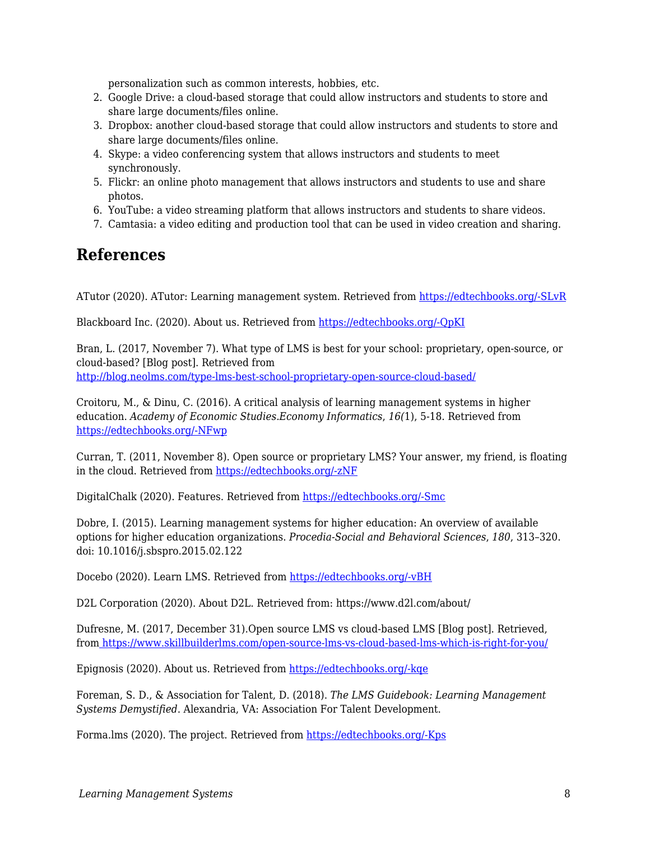personalization such as common interests, hobbies, etc.

- 2. Google Drive: a cloud-based storage that could allow instructors and students to store and share large documents/files online.
- 3. Dropbox: another cloud-based storage that could allow instructors and students to store and share large documents/files online.
- 4. Skype: a video conferencing system that allows instructors and students to meet synchronously.
- 5. Flickr: an online photo management that allows instructors and students to use and share photos.
- 6. YouTube: a video streaming platform that allows instructors and students to share videos.
- 7. Camtasia: a video editing and production tool that can be used in video creation and sharing.

### **References**

ATutor (2020). ATutor: Learning management system. Retrieved from [https://edtechbooks.org/-SLvR](https://atutor.github.io/atutor/index.html)

Blackboard Inc. (2020). About us. Retrieved from [https://edtechbooks.org/-QpKI](https://www.blackboard.com/about-us)

Bran, L. (2017, November 7). What type of LMS is best for your school: proprietary, open-source, or cloud-based? [Blog post]. Retrieved from [http://blog.neolms.com/type-lms-best-school-proprietary-open-source-cloud-based/](https://www.google.com/url?q=http://blog.neolms.com/type-lms-best-school-proprietary-open-source-cloud-based/&sa=D&ust=1585945869695000)

Croitoru, M., & Dinu, C. (2016). A critical analysis of learning management systems in higher education. *Academy of Economic Studies.Economy Informatics*, *16(*1), 5-18. Retrieved from [https://edtechbooks.org/-NFwp](https://search-proquest-com.liblink.uncw.edu/docview/1988422260?accountid=14606)

Curran, T. (2011, November 8). Open source or proprietary LMS? Your answer, my friend, is floating in the cloud. Retrieved from [https://edtechbooks.org/-zNF](https://tedcurran.net/2011/11/open-source-or-proprietary-lms-your-answer-my-friend-is-floating-in-the-cloud/)

DigitalChalk (2020). Features. Retrieved from [https://edtechbooks.org/-Smc](https://www.digitalchalk.com/ecommerce)

Dobre, I. (2015). Learning management systems for higher education: An overview of available options for higher education organizations. *Procedia-Social and Behavioral Sciences*, *180*, 313–320. doi: 10.1016/j.sbspro.2015.02.122

Docebo (2020). Learn LMS. Retrieved from [https://edtechbooks.org/-vBH](https://www.docebo.com/learning-management-system-lms/)

D2L Corporation (2020). About D2L. Retrieved from: https://www.d2l.com/about/

Dufresne, M. (2017, December 31).Open source LMS vs cloud-based LMS [Blog post]. Retrieved, from [https://www.skillbuilderlms.com/open-source-lms-vs-cloud-based-lms-which-is-right-for-you/](https://www.google.com/url?q=https://www.skillbuilderlms.com/open-source-lms-vs-cloud-based-lms-which-is-right-for-you/&sa=D&ust=1585945869697000)

Epignosis (2020). About us. Retrieved from [https://edtechbooks.org/-kqe](https://www.talentlms.com/about)

Foreman, S. D., & Association for Talent, D. (2018). *The LMS Guidebook: Learning Management Systems Demystified*. Alexandria, VA: Association For Talent Development.

Forma.lms (2020). The project. Retrieved from [https://edtechbooks.org/-Kps](https://www.formalms.org/about.html)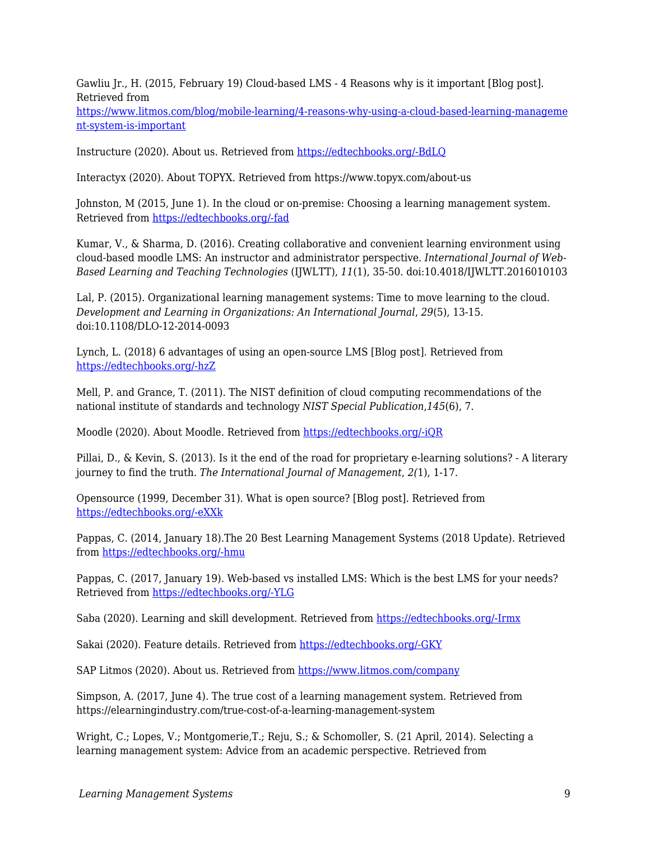Gawliu Jr., H. (2015, February 19) Cloud-based LMS - 4 Reasons why is it important [Blog post]. Retrieved from

[https://www.litmos.com/blog/mobile-learning/4-reasons-why-using-a-cloud-based-learning-manageme](https://www.google.com/url?q=https://www.litmos.com/blog/mobile-learning/4-reasons-why-using-a-cloud-based-learning-management-system-is-important&sa=D&ust=1585945869698000) [nt-system-is-important](https://www.google.com/url?q=https://www.litmos.com/blog/mobile-learning/4-reasons-why-using-a-cloud-based-learning-management-system-is-important&sa=D&ust=1585945869698000)

Instructure (2020). About us. Retrieved from [https://edtechbooks.org/-BdLQ](https://www.instructure.com/about/our-story)

Interactyx (2020). About TOPYX. Retrieved from https://www.topyx.com/about-us

Johnston, M (2015, June 1). In the cloud or on-premise: Choosing a learning management system. Retrieved from [https://edtechbooks.org/-fad](https://www.cmscritic.com/in-the-cloud-or-on-premise-choosing-a-learning-management-system/)

Kumar, V., & Sharma, D. (2016). Creating collaborative and convenient learning environment using cloud-based moodle LMS: An instructor and administrator perspective. *International Journal of Web-Based Learning and Teaching Technologies* (IJWLTT), *11*(1), 35-50. doi:10.4018/IJWLTT.2016010103

Lal, P. (2015). Organizational learning management systems: Time to move learning to the cloud. *Development and Learning in Organizations: An International Journal*, *29*(5), 13-15. doi:10.1108/DLO-12-2014-0093

Lynch, L. (2018) 6 advantages of using an open-source LMS [Blog post]. Retrieved from [https://edtechbooks.org/-hzZ](http://www.elearninglearning.com/learning-management-system/open-source/?open-article-id=8694466&article-title=6-advantages-of-using-an-open-source-lms&blog-domain=learndash.com&blog-title=learndash)

Mell, P. and Grance, T. (2011). The NIST definition of cloud computing recommendations of the national institute of standards and technology *NIST Special Publication*,*145*(6), 7.

Moodle (2020). About Moodle. Retrieved from [https://edtechbooks.org/-iQR](https://docs.moodle.org/38/en/About_Moodle)

Pillai, D., & Kevin, S. (2013). Is it the end of the road for proprietary e-learning solutions? - A literary journey to find the truth. *The International Journal of Management*, *2(*1), 1-17.

Opensource (1999, December 31). What is open source? [Blog post]. Retrieved from [https://edtechbooks.org/-eXXk](https://www.google.com/url?q=https://opensource.com/resources/what-open-source&sa=D&ust=1585945869700000)

Pappas, C. (2014, January 18).The 20 Best Learning Management Systems (2018 Update). Retrieved from [https://edtechbooks.org/-hmu](https://www.google.com/url?q=https://elearningindustry.com/the-20-best-learning-management-systems&sa=D&ust=1585945869700000)

Pappas, C. (2017, January 19). Web-based vs installed LMS: Which is the best LMS for your needs? Retrieved from [https://edtechbooks.org/-YLG](https://www.google.com/url?q=https://www.allencomm.com/blog/2017/01/web-based-vs-installed-lms/&sa=D&ust=1585945869701000)

Saba (2020). Learning and skill development. Retrieved from [https://edtechbooks.org/-Irmx](https://www.saba.com/products/learning)

Sakai (2020). Feature details. Retrieved from [https://edtechbooks.org/-GKY](https://www.sakailms.org/feature-details)

SAP Litmos (2020). About us. Retrieved from <https://www.litmos.com/company>

Simpson, A. (2017, June 4). The true cost of a learning management system. Retrieved from https://elearningindustry.com/true-cost-of-a-learning-management-system

Wright, C.; Lopes, V.; Montgomerie,T.; Reju, S.; & Schomoller, S. (21 April, 2014). Selecting a learning management system: Advice from an academic perspective. Retrieved from